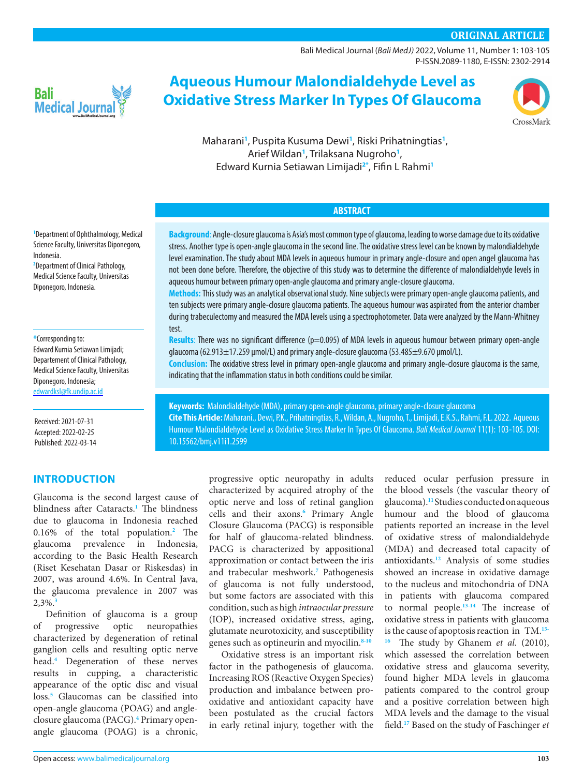## **ORIGINAL ARTICLE**

[Bali Medical Journal](http://www.balimedicaljournal.org/) (*Bali MedJ)* 2022, Volume 11, Number 1: 103-105 P-ISSN.2089-1180, E-ISSN: 2302-2914



# **Aqueous Humour Malondialdehyde Level as Oxidative Stress Marker In Types Of Glaucoma**



Maharani**[1](#page-0-0)** , Puspita Kusuma Dewi**[1](#page-0-0)** , Riski Prihatningtias**[1](#page-0-0)** , Arief Wildan**[1](#page-0-0)** , Trilaksana Nugroho**[1](#page-0-0)** , Edward Kurnia Setiawan Limijadi**[2](#page-0-1)[\\*](#page-0-2)** , Fifin L Rahmi**[1](#page-0-0)**

## **ABSTRACT**

**Background**: Angle-closure glaucoma is Asia's most common type of glaucoma, leading to worse damage due to its oxidative stress. Another type is open-angle glaucoma in the second line. The oxidative stress level can be known by malondialdehyde level examination. The study about MDA levels in aqueous humour in primary angle-closure and open angel glaucoma has not been done before. Therefore, the objective of this study was to determine the difference of malondialdehyde levels in aqueous humour between primary open-angle glaucoma and primary angle-closure glaucoma.

**Methods:**This study was an analytical observational study. Nine subjects were primary open-angle glaucoma patients, and ten subjects were primary angle-closure glaucoma patients. The aqueous humour was aspirated from the anterior chamber during trabeculectomy and measured the MDA levels using a spectrophotometer. Data were analyzed by the Mann-Whitney test.

**Results**: There was no significant difference (p=0.095) of MDA levels in aqueous humour between primary open-angle glaucoma (62.913±17.259 μmol/L) and primary angle-closure glaucoma (53.485±9.670 μmol/L).

**Conclusion:** The oxidative stress level in primary open-angle glaucoma and primary angle-closure glaucoma is the same, indicating that the inflammation status in both conditions could be similar.

**Keywords:** Malondialdehyde (MDA), primary open-angle glaucoma, primary angle-closure glaucoma **Cite This Article:** Maharani., Dewi, P.K., Prihatningtias, R., Wildan, A., Nugroho, T., Limijadi, E.K.S., Rahmi, F.L. 2022. Aqueous Humour Malondialdehyde Level as Oxidative Stress Marker In Types Of Glaucoma. *Bali Medical Journal* 11(1): 103-105. DOI: [10.15562/bmj.v11i1.2599](http://dx.doi.org/10.15562/bmj.v11i1.2599)

> progressive optic neuropathy in adults characterized by acquired atrophy of the optic nerve and loss of retinal ganglion cells and their axons.<sup>[6](#page-2-5)</sup> Primary Angle Closure Glaucoma (PACG) is responsible for half of glaucoma-related blindness. PACG is characterized by appositional approximation or contact between the iris and trabecular meshwork. **[7](#page-2-6)** Pathogenesis of glaucoma is not fully understood, but some factors are associated with this condition, such as high *intraocular pressure*  (IOP), increased oxidative stress, aging, glutamate neurotoxicity, and susceptibility genes such as optineurin and myocilin.**8-10**

> Oxidative stress is an important risk factor in the pathogenesis of glaucoma. Increasing ROS (Reactive Oxygen Species) production and imbalance between prooxidative and antioxidant capacity have been postulated as the crucial factors in early retinal injury, together with the

reduced ocular perfusion pressure in the blood vessels (the vascular theory of glaucoma).**[11](#page-2-7)** Studies conducted on aqueous humour and the blood of glaucoma patients reported an increase in the level of oxidative stress of malondialdehyde (MDA) and decreased total capacity of antioxidants.**[12](#page-2-8)** Analysis of some studies showed an increase in oxidative damage to the nucleus and mitochondria of DNA in patients with glaucoma compared to normal people.**[13](#page-2-9)[-14](#page-2-10)** The increase of oxidative stress in patients with glaucoma is the cause of apoptosis reaction in TM.**[15](#page-2-11)- 16** The study by Ghanem *et al.* (2010), which assessed the correlation between oxidative stress and glaucoma severity, found higher MDA levels in glaucoma patients compared to the control group and a positive correlation between high MDA levels and the damage to the visual field. **[17](#page-2-12)** Based on the study of Faschinger *et* 

<span id="page-0-0"></span>**1** [Department of Ophthalmology, Medical](http://)  [Science Faculty, Universitas Diponegoro,](http://)  [Indonesia.](http://)

<span id="page-0-1"></span>**2** Department of Clinical Pathology, Medical Science Faculty, Universitas Diponegoro, Indonesia.

# <span id="page-0-2"></span>**\***Corresponding to: Edward Kurnia Setiawan Limijadi; Departement of Clinical Pathology,

Medical Science Faculty, Universitas Diponegoro, Indonesia; [edwardksl@fk.undip.ac.id](mailto:edwardksl@fk.undip.ac.id)

Received: 2021-07-31 Accepted: 2022-02-25 Published: 2022-03-14

## **INTRODUCTION**

Glaucoma is the second largest cause of blindness after Cataracts. **[1](#page-2-0)** The blindness due to glaucoma in Indonesia reached 0.16% of the total population.**[2](#page-2-1)** The glaucoma prevalence in Indonesia, according to the Basic Health Research (Riset Kesehatan Dasar or Riskesdas) in 2007, was around 4.6%. In Central Java, the glaucoma prevalence in 2007 was 2,3%.**[3](#page-2-2)**

Definition of glaucoma is a group of progressive optic neuropathies characterized by degeneration of retinal ganglion cells and resulting optic nerve head. **[4](#page-2-3)** Degeneration of these nerves results in cupping, a characteristic appearance of the optic disc and visual loss. **[5](#page-2-4)** Glaucomas can be classified into open-angle glaucoma (POAG) and angle-closure glaucoma (PACG).<sup>[4](#page-2-3)</sup> Primary openangle glaucoma (POAG) is a chronic,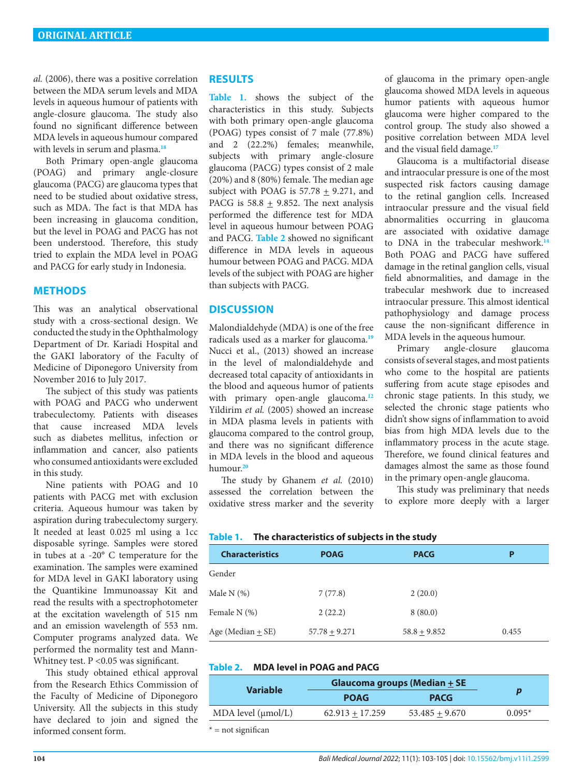*al.* (2006), there was a positive correlation between the MDA serum levels and MDA levels in aqueous humour of patients with angle-closure glaucoma. The study also found no significant difference between MDA levels in aqueous humour compared with levels in serum and plasma. **[18](#page-2-13)**

Both Primary open-angle glaucoma (POAG) and primary angle-closure glaucoma (PACG) are glaucoma types that need to be studied about oxidative stress, such as MDA. The fact is that MDA has been increasing in glaucoma condition, but the level in POAG and PACG has not been understood. Therefore, this study tried to explain the MDA level in POAG and PACG for early study in Indonesia.

#### **METHODS**

This was an analytical observational study with a cross-sectional design. We conducted the study in the Ophthalmology Department of Dr. Kariadi Hospital and the GAKI laboratory of the Faculty of Medicine of Diponegoro University from November 2016 to July 2017.

The subject of this study was patients with POAG and PACG who underwent trabeculectomy. Patients with diseases that cause increased MDA levels such as diabetes mellitus, infection or inflammation and cancer, also patients who consumed antioxidants were excluded in this study.

Nine patients with POAG and 10 patients with PACG met with exclusion criteria. Aqueous humour was taken by aspiration during trabeculectomy surgery. It needed at least 0.025 ml using a 1cc disposable syringe. Samples were stored in tubes at a -20° C temperature for the examination. The samples were examined for MDA level in GAKI laboratory using the Quantikine Immunoassay Kit and read the results with a spectrophotometer at the excitation wavelength of 515 nm and an emission wavelength of 553 nm. Computer programs analyzed data. We performed the normality test and Mann-Whitney test. P < 0.05 was significant.

This study obtained ethical approval from the Research Ethics Commission of the Faculty of Medicine of Diponegoro University. All the subjects in this study have declared to join and signed the informed consent form.

#### **RESULTS**

**[Table 1.](#page-1-0)** shows the subject of the characteristics in this study. Subjects with both primary open-angle glaucoma (POAG) types consist of 7 male (77.8%) and 2 (22.2%) females; meanwhile, subjects with primary angle-closure glaucoma (PACG) types consist of 2 male (20%) and 8 (80%) female. The median age subject with POAG is 57.78 + 9.271, and PACG is  $58.8 \pm 9.852$ . The next analysis performed the difference test for MDA level in aqueous humour between POAG and PACG. **[Table 2](#page-1-1)** showed no significant difference in MDA levels in aqueous humour between POAG and PACG. MDA levels of the subject with POAG are higher than subjects with PACG.

#### **DISCUSSION**

Malondialdehyde (MDA) is one of the free radicals used as a marker for glaucoma.**[19](#page-2-14)** Nucci et al., (2013) showed an increase in the level of malondialdehyde and decreased total capacity of antioxidants in the blood and aqueous humor of patients with primary open-angle glaucoma.**[12](#page-2-8)** Yildirim *et al.* (2005) showed an increase in MDA plasma levels in patients with glaucoma compared to the control group, and there was no significant difference in MDA levels in the blood and aqueous humour.**20**

The study by Ghanem *et al.* (2010) assessed the correlation between the oxidative stress marker and the severity of glaucoma in the primary open-angle glaucoma showed MDA levels in aqueous humor patients with aqueous humor glaucoma were higher compared to the control group. The study also showed a positive correlation between MDA level and the visual field damage.**[17](#page-2-12)**

Glaucoma is a multifactorial disease and intraocular pressure is one of the most suspected risk factors causing damage to the retinal ganglion cells. Increased intraocular pressure and the visual field abnormalities occurring in glaucoma are associated with oxidative damage to DNA in the trabecular meshwork.**[14](#page-2-10)** Both POAG and PACG have suffered damage in the retinal ganglion cells, visual field abnormalities, and damage in the trabecular meshwork due to increased intraocular pressure. This almost identical pathophysiology and damage process cause the non-significant difference in MDA levels in the aqueous humour.

Primary angle-closure glaucoma consists of several stages, and most patients who come to the hospital are patients suffering from acute stage episodes and chronic stage patients. In this study, we selected the chronic stage patients who didn't show signs of inflammation to avoid bias from high MDA levels due to the inflammatory process in the acute stage. Therefore, we found clinical features and damages almost the same as those found in the primary open-angle glaucoma.

This study was preliminary that needs to explore more deeply with a larger

<span id="page-1-0"></span>

| Table 1. |  | The characteristics of subjects in the study |
|----------|--|----------------------------------------------|
|----------|--|----------------------------------------------|

| <b>Characteristics</b> | <b>POAG</b>     | <b>PACG</b>    | P     |
|------------------------|-----------------|----------------|-------|
| Gender                 |                 |                |       |
| Male N $(%)$           | 7(77.8)         | 2(20.0)        |       |
| Female N (%)           | 2(22.2)         | 8(80.0)        |       |
| Age (Median $\pm$ SE)  | $57.78 + 9.271$ | $58.8 + 9.852$ | 0.455 |

<span id="page-1-1"></span>

|  | Table 2. | <b>MDA level in POAG and PACG</b> |
|--|----------|-----------------------------------|
|--|----------|-----------------------------------|

| <b>Variable</b>           | Glaucoma groups (Median $\pm$ SE |                  |          |
|---------------------------|----------------------------------|------------------|----------|
|                           | <b>POAG</b>                      | <b>PACG</b>      | D        |
| $MDA$ level $(\mu mol/L)$ | $62.913 + 17.259$                | $53.485 + 9.670$ | $0.095*$ |
| $* = not a similar$       |                                  |                  |          |

 $=$  not significan